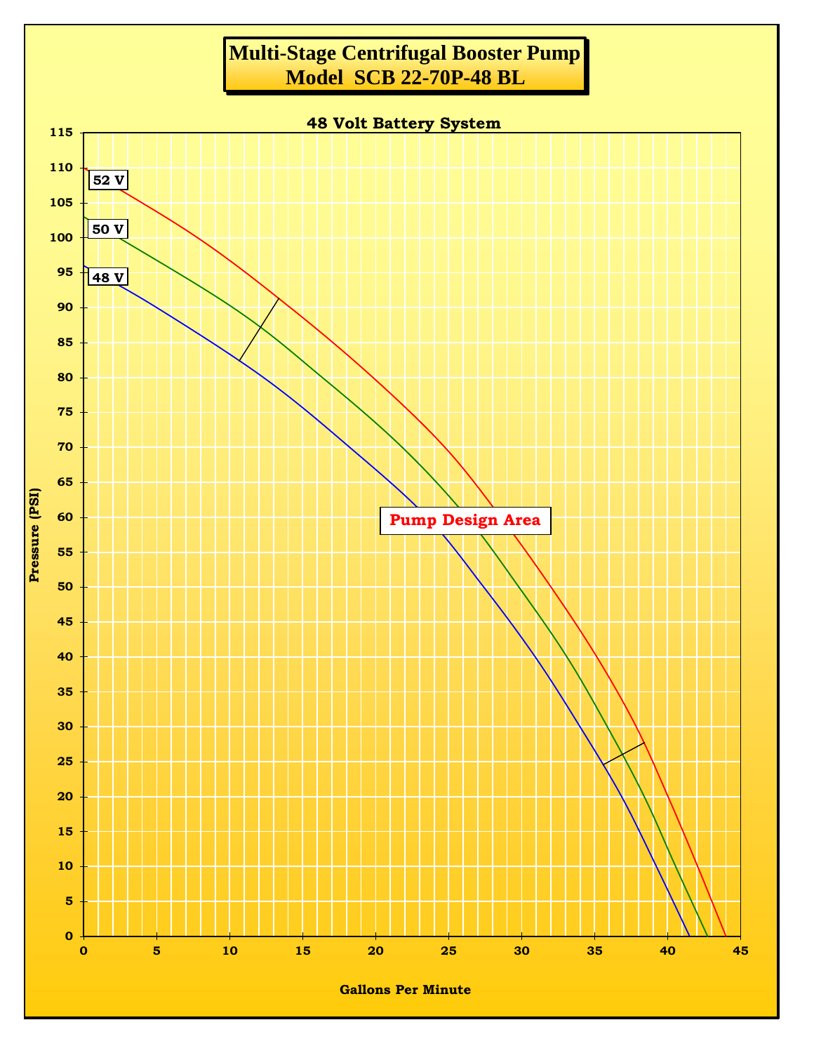